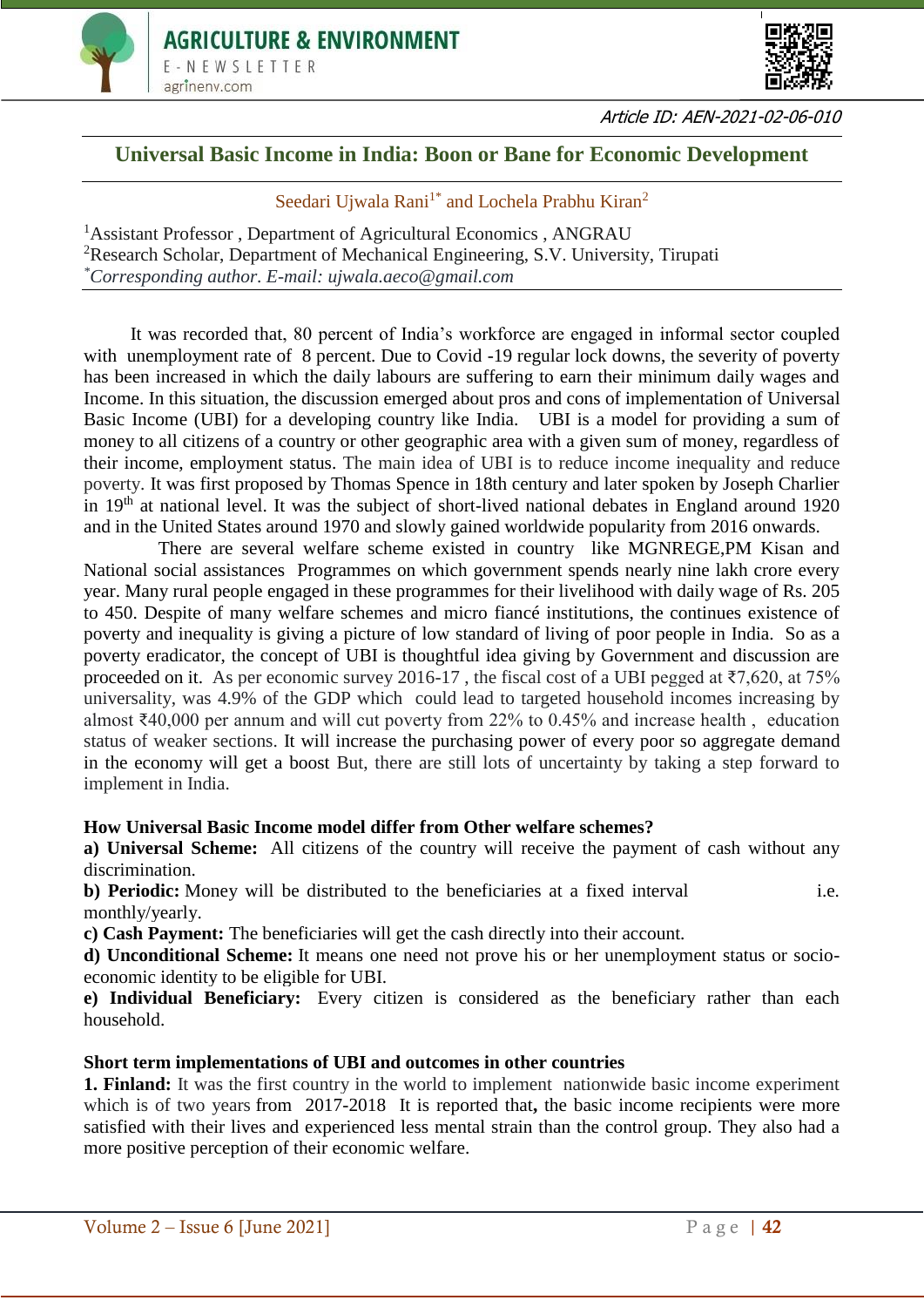



Article ID: AEN-2021-02-06-010

# **Universal Basic Income in India: Boon or Bane for Economic Development**

# Seedari Ujwala Rani<sup>1\*</sup> and Lochela Prabhu Kiran<sup>2</sup>

<sup>1</sup>Assistant Professor, Department of Agricultural Economics, ANGRAU <sup>2</sup>Research Scholar, Department of Mechanical Engineering, S.V. University, Tirupati *\*Corresponding author. E-mail: ujwala.aeco@gmail.com*

It was recorded that, 80 percent of India's workforce are engaged in informal sector coupled with unemployment rate of 8 percent. Due to Covid -19 regular lock downs, the severity of poverty has been increased in which the daily labours are suffering to earn their minimum daily wages and Income. In this situation, the discussion emerged about pros and cons of implementation of Universal Basic Income (UBI) for a developing country like India. UBI is a model for providing a sum of money to all citizens of a country or other geographic area with a given sum of money, regardless of their income, employment status. The main idea of UBI is to reduce income inequality and reduce poverty. It was first proposed by Thomas Spence in 18th century and later spoken by Joseph Charlier in  $19<sup>th</sup>$  at national level. It was the subject of short-lived national debates in England around 1920 and in the United States around 1970 and slowly gained worldwide popularity from 2016 onwards.

 There are several welfare scheme existed in country like MGNREGE,PM Kisan and National social assistances Programmes on which government spends nearly nine lakh crore every year. Many rural people engaged in these programmes for their livelihood with daily wage of Rs. 205 to 450. Despite of many welfare schemes and micro fiancé institutions, the continues existence of poverty and inequality is giving a picture of low standard of living of poor people in India. So as a poverty eradicator, the concept of UBI is thoughtful idea giving by Government and discussion are proceeded on it. As per economic survey 2016-17, the fiscal cost of a UBI pegged at  $\overline{57,620}$ , at  $75\%$ universality, was 4.9% of the GDP which could lead to targeted household incomes increasing by almost ₹40,000 per annum and will cut poverty from 22% to 0.45% and increase health , education status of weaker sections. It will increase the purchasing power of every poor so aggregate demand in the economy will get a boost But, there are still lots of uncertainty by taking a step forward to implement in India.

## **How Universal Basic Income model differ from Other welfare schemes?**

**a) Universal Scheme:** All citizens of the country will receive the payment of cash without any discrimination.

**b) Periodic:** Money will be distributed to the beneficiaries at a fixed interval i.e. monthly/yearly.

**c) Cash Payment:** The beneficiaries will get the cash directly into their account.

**d) Unconditional Scheme:** It means one need not prove his or her unemployment status or socioeconomic identity to be eligible for UBI.

**e) Individual Beneficiary:** Every citizen is considered as the beneficiary rather than each household.

## **Short term implementations of UBI and outcomes in other countries**

**1. Finland:** It was the first country in the world to implement nationwide basic income experiment which is of two years from 2017-2018 It is reported that, the basic income recipients were more satisfied with their lives and experienced less mental strain than the control group. They also had a more positive perception of their economic welfare.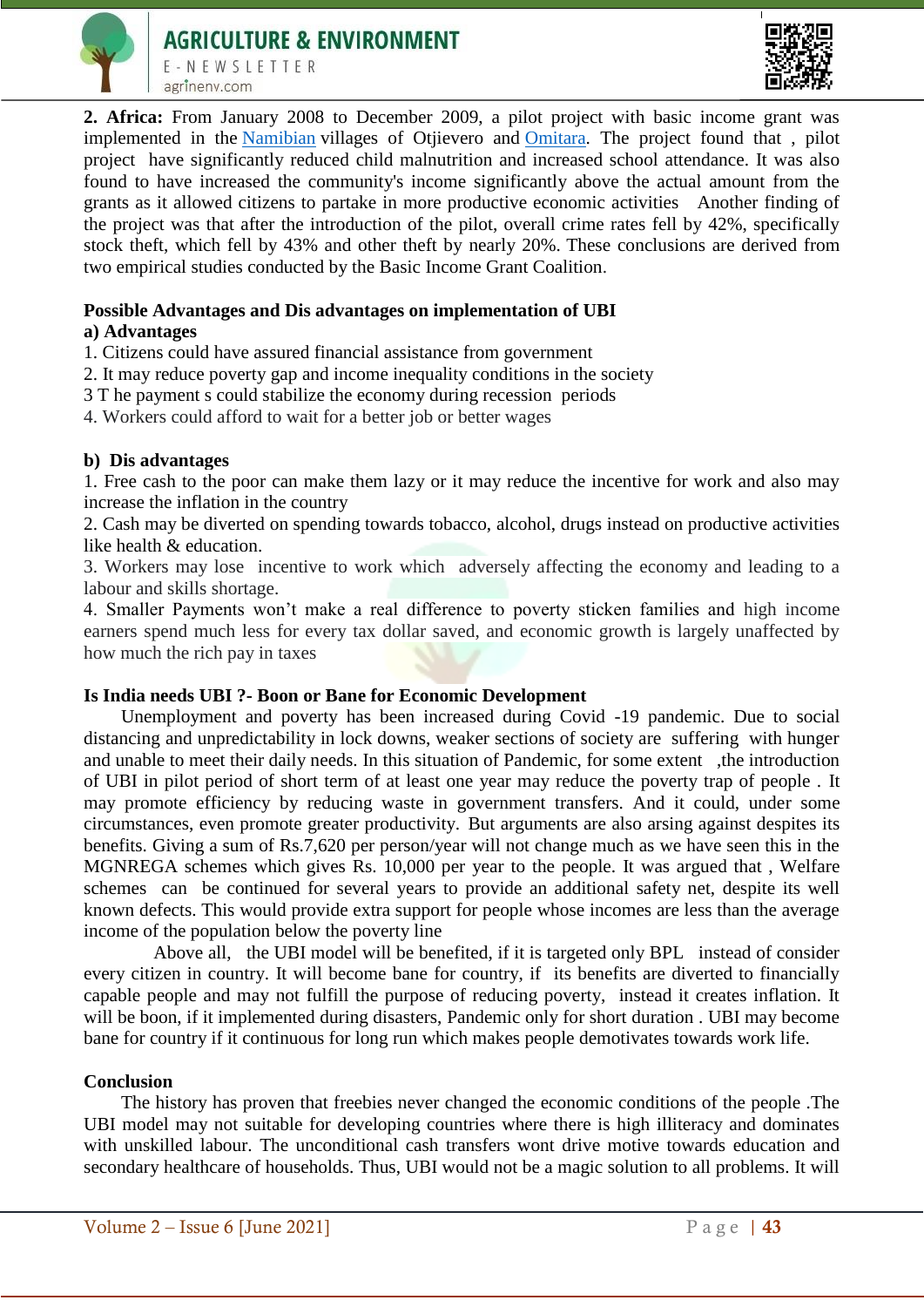



**2. Africa:** From January 2008 to December 2009, a pilot project with basic income grant was implemented in the [Namibian](https://en.wikipedia.org/wiki/Namibia) villages of Otjievero and [Omitara.](https://en.wikipedia.org/wiki/Omitara) The project found that , pilot project have significantly reduced child malnutrition and increased school attendance. It was also found to have increased the community's income significantly above the actual amount from the grants as it allowed citizens to partake in more productive economic activities Another finding of the project was that after the introduction of the pilot, overall crime rates fell by 42%, specifically stock theft, which fell by 43% and other theft by nearly 20%. These conclusions are derived from two empirical studies conducted by the Basic Income Grant Coalition.

## **Possible Advantages and Dis advantages on implementation of UBI**

### **a) Advantages**

1. Citizens could have assured financial assistance from government

- 2. It may reduce poverty gap and income inequality conditions in the society
- 3 T he payment s could stabilize the economy during recession periods
- 4. Workers could afford to wait for a better job or better wages

### **b) Dis advantages**

1. Free cash to the poor can make them lazy or it may reduce the incentive for work and also may increase the inflation in the country

2. Cash may be diverted on spending towards tobacco, alcohol, drugs instead on productive activities like health & education.

3. Workers may lose incentive to work which adversely affecting the economy and leading to a labour and skills shortage.

4. Smaller Payments won't make a real difference to poverty sticken families and high income earners spend much less for every tax dollar saved, and economic growth is largely unaffected by how much the rich pay in taxes

#### **Is India needs UBI ?- Boon or Bane for Economic Development**

 Unemployment and poverty has been increased during Covid -19 pandemic. Due to social distancing and unpredictability in lock downs, weaker sections of society are suffering with hunger and unable to meet their daily needs. In this situation of Pandemic, for some extent ,the introduction of UBI in pilot period of short term of at least one year may reduce the poverty trap of people . It may promote efficiency by reducing waste in government transfers. And it could, under some circumstances, even promote greater productivity. But arguments are also arsing against despites its benefits. Giving a sum of Rs.7,620 per person/year will not change much as we have seen this in the MGNREGA schemes which gives Rs. 10,000 per year to the people. It was argued that , Welfare schemes can be continued for several years to provide an additional safety net, despite its well known defects. This would provide extra support for people whose incomes are less than the average income of the population below the poverty line

 Above all, the UBI model will be benefited, if it is targeted only BPL instead of consider every citizen in country. It will become bane for country, if its benefits are diverted to financially capable people and may not fulfill the purpose of reducing poverty, instead it creates inflation. It will be boon, if it implemented during disasters, Pandemic only for short duration . UBI may become bane for country if it continuous for long run which makes people demotivates towards work life.

#### **Conclusion**

 The history has proven that freebies never changed the economic conditions of the people .The UBI model may not suitable for developing countries where there is high illiteracy and dominates with unskilled labour. The unconditional cash transfers wont drive motive towards education and secondary healthcare of households. Thus, UBI would not be a magic solution to all problems. It will